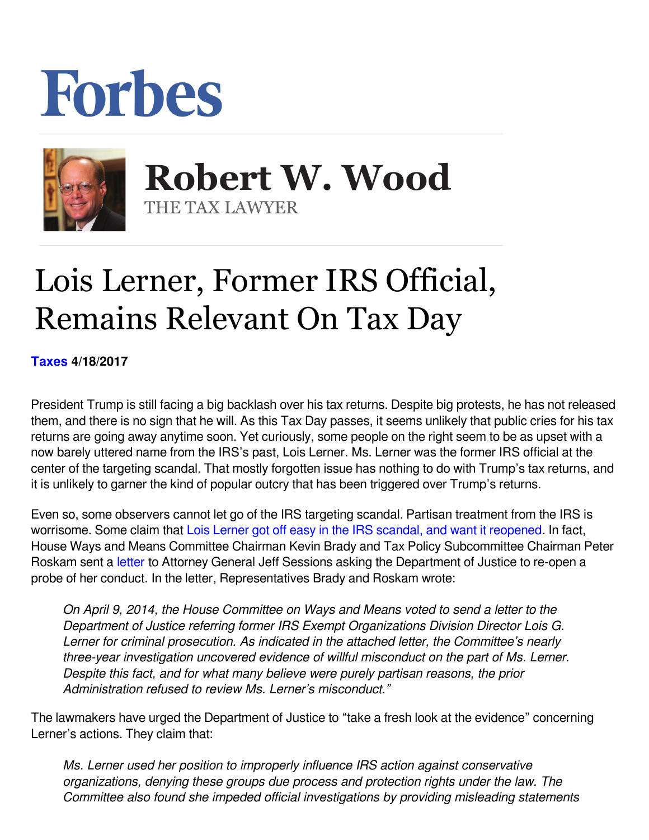## Forbes



 **Robert W. Wood** THE TAX LAWYER

## Lois Lerner, Former IRS Official, Remains Relevant On Tax Day

**[Taxes](https://www.forbes.com/taxes) 4/18/2017** 

President Trump is still facing a big backlash over his tax returns. Despite big protests, he has not released them, and there is no sign that he will. As this Tax Day passes, it seems unlikely that public cries for his tax returns are going away anytime soon. Yet curiously, some people on the right seem to be as upset with a now barely uttered name from the IRS's past, Lois Lerner. Ms. Lerner was the former IRS official at the center of the targeting scandal. That mostly forgotten issue has nothing to do with Trump's tax returns, and it is unlikely to garner the kind of popular outcry that has been triggered over Trump's returns.

Even so, some observers cannot let go of the IRS targeting scandal. Partisan treatment from the IRS is worrisome. Some claim that [Lois Lerner got off easy in the IRS scandal, and want it reopened.](https://www.yahoo.com/news/m/55ea62d9-3901-3b34-abe8-3274b87018d5/ss_lois-lerner-got-off-easy-in.html) In fact, House Ways and Means Committee Chairman Kevin Brady and Tax Policy Subcommittee Chairman Peter Roskam sent a letter to Attorney General Jeff Sessions asking the Department of Justice to re-open a probe of her conduct. In the letter, Representatives Brady and Roskam wrote:

*On April 9, 2014, the House Committee on Ways and Means voted to send a letter to the Department of Justice referring former IRS Exempt Organizations Division Director Lois G. Lerner for criminal prosecution. As indicated in the attached letter, the Committee's nearly three-year investigation uncovered evidence of willful misconduct on the part of Ms. Lerner. Despite this fact, and for what many believe were purely partisan reasons, the prior Administration refused to review Ms. Lerner's misconduct."*

The lawmakers have urged the Department of Justice to "take a fresh look at the evidence" concerning Lerner's actions. They claim that:

*Ms. Lerner used her position to improperly influence IRS action against conservative organizations, denying these groups due process and protection rights under the law. The Committee also found she impeded official investigations by providing misleading statements*